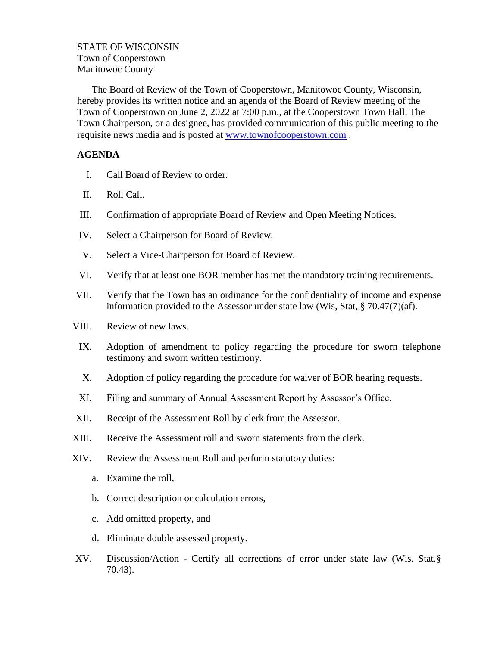## STATE OF WISCONSIN Town of Cooperstown Manitowoc County

The Board of Review of the Town of Cooperstown, Manitowoc County, Wisconsin, hereby provides its written notice and an agenda of the Board of Review meeting of the Town of Cooperstown on June 2, 2022 at 7:00 p.m., at the Cooperstown Town Hall. The Town Chairperson, or a designee, has provided communication of this public meeting to the requisite news media and is posted at [www.townofcooperstown.com](http://www.townofcooperstown.com/) .

## **AGENDA**

- I. Call Board of Review to order.
- II. Roll Call.
- III. Confirmation of appropriate Board of Review and Open Meeting Notices.
- IV. Select a Chairperson for Board of Review.
- V. Select a Vice-Chairperson for Board of Review.
- VI. Verify that at least one BOR member has met the mandatory training requirements.
- VII. Verify that the Town has an ordinance for the confidentiality of income and expense information provided to the Assessor under state law (Wis, Stat,  $\S 70.47(7)(af)$ .
- VIII. Review of new laws.
- IX. Adoption of amendment to policy regarding the procedure for sworn telephone testimony and sworn written testimony.
- X. Adoption of policy regarding the procedure for waiver of BOR hearing requests.
- XI. Filing and summary of Annual Assessment Report by Assessor's Office.
- XII. Receipt of the Assessment Roll by clerk from the Assessor.
- XIII. Receive the Assessment roll and sworn statements from the clerk.
- XIV. Review the Assessment Roll and perform statutory duties:
	- a. Examine the roll,
	- b. Correct description or calculation errors,
	- c. Add omitted property, and
	- d. Eliminate double assessed property.
- XV. Discussion/Action Certify all corrections of error under state law (Wis. Stat.§ 70.43).